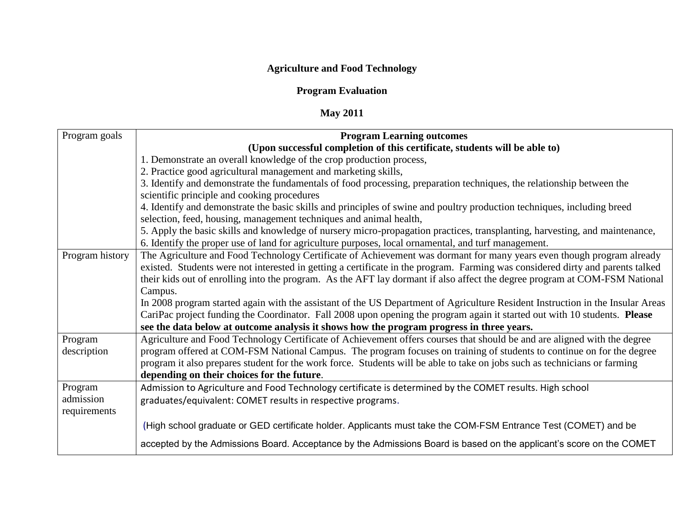## **Agriculture and Food Technology**

## **Program Evaluation**

## **May 2011**

| Program goals   | <b>Program Learning outcomes</b>                                                                                               |
|-----------------|--------------------------------------------------------------------------------------------------------------------------------|
|                 | (Upon successful completion of this certificate, students will be able to)                                                     |
|                 | 1. Demonstrate an overall knowledge of the crop production process,                                                            |
|                 | 2. Practice good agricultural management and marketing skills,                                                                 |
|                 | 3. Identify and demonstrate the fundamentals of food processing, preparation techniques, the relationship between the          |
|                 | scientific principle and cooking procedures                                                                                    |
|                 | 4. Identify and demonstrate the basic skills and principles of swine and poultry production techniques, including breed        |
|                 | selection, feed, housing, management techniques and animal health,                                                             |
|                 | 5. Apply the basic skills and knowledge of nursery micro-propagation practices, transplanting, harvesting, and maintenance,    |
|                 | 6. Identify the proper use of land for agriculture purposes, local ornamental, and turf management.                            |
| Program history | The Agriculture and Food Technology Certificate of Achievement was dormant for many years even though program already          |
|                 | existed. Students were not interested in getting a certificate in the program. Farming was considered dirty and parents talked |
|                 | their kids out of enrolling into the program. As the AFT lay dormant if also affect the degree program at COM-FSM National     |
|                 | Campus.                                                                                                                        |
|                 | In 2008 program started again with the assistant of the US Department of Agriculture Resident Instruction in the Insular Areas |
|                 | CariPac project funding the Coordinator. Fall 2008 upon opening the program again it started out with 10 students. Please      |
|                 | see the data below at outcome analysis it shows how the program progress in three years.                                       |
| Program         | Agriculture and Food Technology Certificate of Achievement offers courses that should be and are aligned with the degree       |
| description     | program offered at COM-FSM National Campus. The program focuses on training of students to continue on for the degree          |
|                 | program it also prepares student for the work force. Students will be able to take on jobs such as technicians or farming      |
|                 | depending on their choices for the future.                                                                                     |
| Program         | Admission to Agriculture and Food Technology certificate is determined by the COMET results. High school                       |
| admission       | graduates/equivalent: COMET results in respective programs.                                                                    |
| requirements    |                                                                                                                                |
|                 | (High school graduate or GED certificate holder. Applicants must take the COM-FSM Entrance Test (COMET) and be                 |
|                 | accepted by the Admissions Board. Acceptance by the Admissions Board is based on the applicant's score on the COMET            |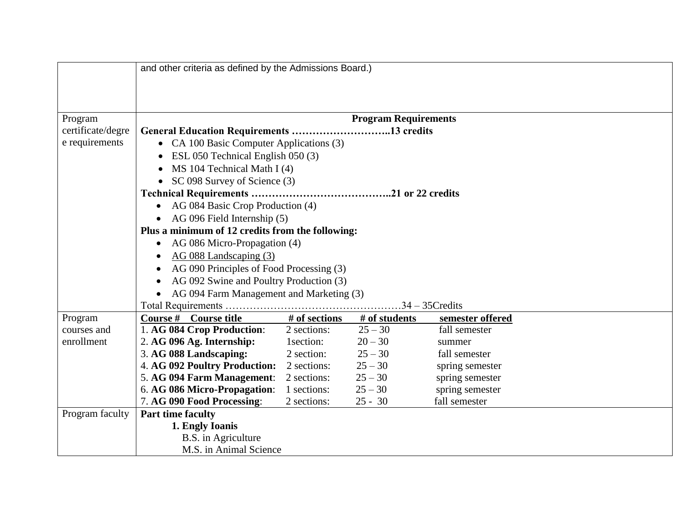| • CA 100 Basic Computer Applications (3)         |                                                                                                                                                                                                                                                                              |                                                                                                                                                                                                                                                                                                               |                                                                                                                                                                                      |                                                                                                                                                                                                          |  |  |  |
|--------------------------------------------------|------------------------------------------------------------------------------------------------------------------------------------------------------------------------------------------------------------------------------------------------------------------------------|---------------------------------------------------------------------------------------------------------------------------------------------------------------------------------------------------------------------------------------------------------------------------------------------------------------|--------------------------------------------------------------------------------------------------------------------------------------------------------------------------------------|----------------------------------------------------------------------------------------------------------------------------------------------------------------------------------------------------------|--|--|--|
|                                                  |                                                                                                                                                                                                                                                                              |                                                                                                                                                                                                                                                                                                               |                                                                                                                                                                                      |                                                                                                                                                                                                          |  |  |  |
| MS 104 Technical Math I (4)                      |                                                                                                                                                                                                                                                                              |                                                                                                                                                                                                                                                                                                               |                                                                                                                                                                                      |                                                                                                                                                                                                          |  |  |  |
| $\bullet$                                        |                                                                                                                                                                                                                                                                              |                                                                                                                                                                                                                                                                                                               |                                                                                                                                                                                      |                                                                                                                                                                                                          |  |  |  |
|                                                  |                                                                                                                                                                                                                                                                              |                                                                                                                                                                                                                                                                                                               |                                                                                                                                                                                      |                                                                                                                                                                                                          |  |  |  |
| AG 084 Basic Crop Production (4)<br>$\bullet$    |                                                                                                                                                                                                                                                                              |                                                                                                                                                                                                                                                                                                               |                                                                                                                                                                                      |                                                                                                                                                                                                          |  |  |  |
|                                                  |                                                                                                                                                                                                                                                                              |                                                                                                                                                                                                                                                                                                               |                                                                                                                                                                                      |                                                                                                                                                                                                          |  |  |  |
| Plus a minimum of 12 credits from the following: |                                                                                                                                                                                                                                                                              |                                                                                                                                                                                                                                                                                                               |                                                                                                                                                                                      |                                                                                                                                                                                                          |  |  |  |
| $\bullet$                                        |                                                                                                                                                                                                                                                                              |                                                                                                                                                                                                                                                                                                               |                                                                                                                                                                                      |                                                                                                                                                                                                          |  |  |  |
| AG 088 Landscaping (3)                           |                                                                                                                                                                                                                                                                              |                                                                                                                                                                                                                                                                                                               |                                                                                                                                                                                      |                                                                                                                                                                                                          |  |  |  |
| AG 090 Principles of Food Processing (3)         |                                                                                                                                                                                                                                                                              |                                                                                                                                                                                                                                                                                                               |                                                                                                                                                                                      |                                                                                                                                                                                                          |  |  |  |
| AG 092 Swine and Poultry Production (3)          |                                                                                                                                                                                                                                                                              |                                                                                                                                                                                                                                                                                                               |                                                                                                                                                                                      |                                                                                                                                                                                                          |  |  |  |
| • AG 094 Farm Management and Marketing (3)       |                                                                                                                                                                                                                                                                              |                                                                                                                                                                                                                                                                                                               |                                                                                                                                                                                      |                                                                                                                                                                                                          |  |  |  |
| $.34 - 35$ Credits                               |                                                                                                                                                                                                                                                                              |                                                                                                                                                                                                                                                                                                               |                                                                                                                                                                                      |                                                                                                                                                                                                          |  |  |  |
|                                                  |                                                                                                                                                                                                                                                                              |                                                                                                                                                                                                                                                                                                               |                                                                                                                                                                                      |                                                                                                                                                                                                          |  |  |  |
|                                                  |                                                                                                                                                                                                                                                                              |                                                                                                                                                                                                                                                                                                               |                                                                                                                                                                                      |                                                                                                                                                                                                          |  |  |  |
|                                                  |                                                                                                                                                                                                                                                                              |                                                                                                                                                                                                                                                                                                               | summer                                                                                                                                                                               |                                                                                                                                                                                                          |  |  |  |
|                                                  |                                                                                                                                                                                                                                                                              |                                                                                                                                                                                                                                                                                                               |                                                                                                                                                                                      |                                                                                                                                                                                                          |  |  |  |
|                                                  |                                                                                                                                                                                                                                                                              |                                                                                                                                                                                                                                                                                                               |                                                                                                                                                                                      |                                                                                                                                                                                                          |  |  |  |
|                                                  |                                                                                                                                                                                                                                                                              |                                                                                                                                                                                                                                                                                                               |                                                                                                                                                                                      |                                                                                                                                                                                                          |  |  |  |
|                                                  |                                                                                                                                                                                                                                                                              |                                                                                                                                                                                                                                                                                                               |                                                                                                                                                                                      |                                                                                                                                                                                                          |  |  |  |
|                                                  |                                                                                                                                                                                                                                                                              |                                                                                                                                                                                                                                                                                                               |                                                                                                                                                                                      |                                                                                                                                                                                                          |  |  |  |
|                                                  |                                                                                                                                                                                                                                                                              |                                                                                                                                                                                                                                                                                                               |                                                                                                                                                                                      |                                                                                                                                                                                                          |  |  |  |
|                                                  |                                                                                                                                                                                                                                                                              |                                                                                                                                                                                                                                                                                                               |                                                                                                                                                                                      |                                                                                                                                                                                                          |  |  |  |
|                                                  |                                                                                                                                                                                                                                                                              |                                                                                                                                                                                                                                                                                                               |                                                                                                                                                                                      |                                                                                                                                                                                                          |  |  |  |
|                                                  | Course # Course title<br>1. AG 084 Crop Production:<br>2. AG 096 Ag. Internship:<br>3. AG 088 Landscaping:<br>5. AG 094 Farm Management:<br>6. AG 086 Micro-Propagation:<br>7. AG 090 Food Processing:<br><b>Part time faculty</b><br>1. Engly Ioanis<br>B.S. in Agriculture | ESL 050 Technical English 050 (3)<br>SC 098 Survey of Science (3)<br>• AG 096 Field Internship $(5)$<br>AG 086 Micro-Propagation (4)<br>2 sections:<br>1 section:<br>2 section:<br><b>4. AG 092 Poultry Production:</b><br>2 sections:<br>2 sections:<br>1 sections:<br>2 sections:<br>M.S. in Animal Science | and other criteria as defined by the Admissions Board.)<br># of sections<br># of students<br>$25 - 30$<br>$20 - 30$<br>$25 - 30$<br>$25 - 30$<br>$25 - 30$<br>$25 - 30$<br>$25 - 30$ | <b>Program Requirements</b><br>General Education Requirements 13 credits<br>semester offered<br>fall semester<br>fall semester<br>spring semester<br>spring semester<br>spring semester<br>fall semester |  |  |  |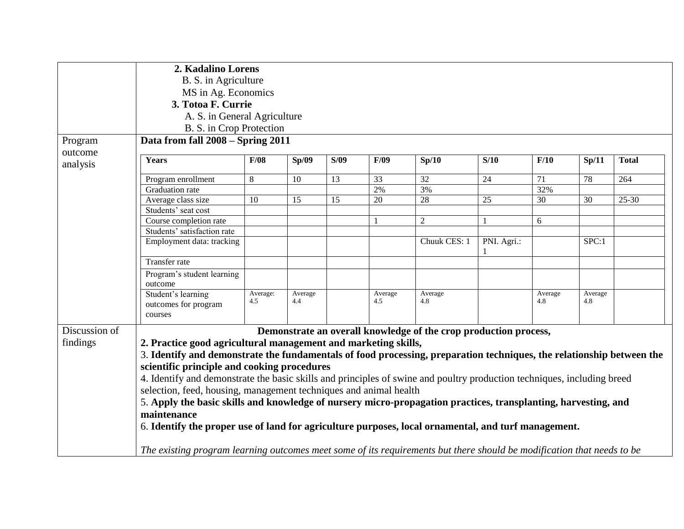|               | 2. Kadalino Lorens                                                                                                                                                                           |                          |                |      |                |                                                                  |             |                |                |              |  |
|---------------|----------------------------------------------------------------------------------------------------------------------------------------------------------------------------------------------|--------------------------|----------------|------|----------------|------------------------------------------------------------------|-------------|----------------|----------------|--------------|--|
|               | B. S. in Agriculture                                                                                                                                                                         |                          |                |      |                |                                                                  |             |                |                |              |  |
|               | MS in Ag. Economics<br>3. Totoa F. Currie<br>A. S. in General Agriculture                                                                                                                    |                          |                |      |                |                                                                  |             |                |                |              |  |
|               |                                                                                                                                                                                              |                          |                |      |                |                                                                  |             |                |                |              |  |
|               |                                                                                                                                                                                              |                          |                |      |                |                                                                  |             |                |                |              |  |
|               |                                                                                                                                                                                              | B. S. in Crop Protection |                |      |                |                                                                  |             |                |                |              |  |
| Program       | Data from fall 2008 - Spring 2011                                                                                                                                                            |                          |                |      |                |                                                                  |             |                |                |              |  |
| outcome       |                                                                                                                                                                                              |                          |                |      |                |                                                                  |             |                |                |              |  |
| analysis      | Years                                                                                                                                                                                        | F/08                     | Sp/09          | S/09 | F/09           | Sp/10                                                            | S/10        | F/10           | Sp/11          | <b>Total</b> |  |
|               | Program enrollment                                                                                                                                                                           | 8                        | 10             | 13   | 33             | 32                                                               | 24          | 71             | 78             | 264          |  |
|               | Graduation rate                                                                                                                                                                              |                          |                |      | 2%             | 3%                                                               |             | 32%            |                |              |  |
|               | Average class size                                                                                                                                                                           | 10                       | 15             | 15   | 20             | 28                                                               | $25\,$      | 30             | 30             | $25 - 30$    |  |
|               | Students' seat cost                                                                                                                                                                          |                          |                |      |                |                                                                  |             |                |                |              |  |
|               | Course completion rate                                                                                                                                                                       |                          |                |      |                | $\sqrt{2}$                                                       | 1           | 6              |                |              |  |
|               | Students' satisfaction rate                                                                                                                                                                  |                          |                |      |                |                                                                  |             |                |                |              |  |
|               | Employment data: tracking                                                                                                                                                                    |                          |                |      |                | Chuuk CES: 1                                                     | PNI. Agri.: |                | SPC:1          |              |  |
|               | Transfer rate                                                                                                                                                                                |                          |                |      |                |                                                                  |             |                |                |              |  |
|               | Program's student learning<br>outcome                                                                                                                                                        |                          |                |      |                |                                                                  |             |                |                |              |  |
|               | Student's learning<br>outcomes for program<br>courses                                                                                                                                        | Average:<br>4.5          | Average<br>4.4 |      | Average<br>4.5 | Average<br>4.8                                                   |             | Average<br>4.8 | Average<br>4.8 |              |  |
| Discussion of |                                                                                                                                                                                              |                          |                |      |                | Demonstrate an overall knowledge of the crop production process, |             |                |                |              |  |
| findings      | 2. Practice good agricultural management and marketing skills,                                                                                                                               |                          |                |      |                |                                                                  |             |                |                |              |  |
|               | 3. Identify and demonstrate the fundamentals of food processing, preparation techniques, the relationship between the                                                                        |                          |                |      |                |                                                                  |             |                |                |              |  |
|               | scientific principle and cooking procedures                                                                                                                                                  |                          |                |      |                |                                                                  |             |                |                |              |  |
|               |                                                                                                                                                                                              |                          |                |      |                |                                                                  |             |                |                |              |  |
|               | 4. Identify and demonstrate the basic skills and principles of swine and poultry production techniques, including breed<br>selection, feed, housing, management techniques and animal health |                          |                |      |                |                                                                  |             |                |                |              |  |
|               |                                                                                                                                                                                              |                          |                |      |                |                                                                  |             |                |                |              |  |
|               | 5. Apply the basic skills and knowledge of nursery micro-propagation practices, transplanting, harvesting, and                                                                               |                          |                |      |                |                                                                  |             |                |                |              |  |
|               | maintenance                                                                                                                                                                                  |                          |                |      |                |                                                                  |             |                |                |              |  |
|               | 6. Identify the proper use of land for agriculture purposes, local ornamental, and turf management.                                                                                          |                          |                |      |                |                                                                  |             |                |                |              |  |
|               |                                                                                                                                                                                              |                          |                |      |                |                                                                  |             |                |                |              |  |
|               | The existing program learning outcomes meet some of its requirements but there should be modification that needs to be                                                                       |                          |                |      |                |                                                                  |             |                |                |              |  |